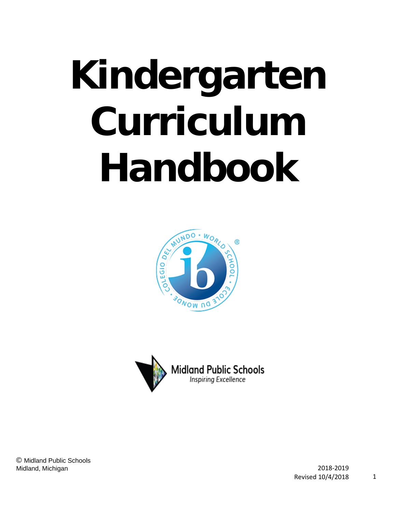# **Kindergarten Curriculum Handbook**





© Midland Public Schools Midland, Michigan 2018-2019

Revised 10/4/2018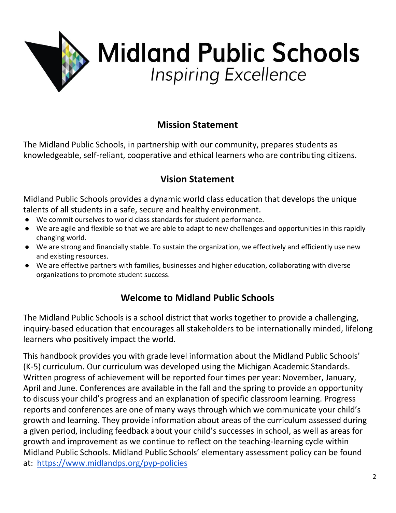

# **Mission Statement**

The Midland Public Schools, in partnership with our community, prepares students as knowledgeable, self-reliant, cooperative and ethical learners who are contributing citizens.

# **Vision Statement**

Midland Public Schools provides a dynamic world class education that develops the unique talents of all students in a safe, secure and healthy environment.

- We commit ourselves to world class standards for student performance.
- We are agile and flexible so that we are able to adapt to new challenges and opportunities in this rapidly changing world.
- We are strong and financially stable. To sustain the organization, we effectively and efficiently use new and existing resources.
- We are effective partners with families, businesses and higher education, collaborating with diverse organizations to promote student success.

## **Welcome to Midland Public Schools**

The Midland Public Schools is a school district that works together to provide a challenging, inquiry-based education that encourages all stakeholders to be internationally minded, lifelong learners who positively impact the world.

This handbook provides you with grade level information about the Midland Public Schools' (K-5) curriculum. Our curriculum was developed using the Michigan Academic Standards. Written progress of achievement will be reported four times per year: November, January, April and June. Conferences are available in the fall and the spring to provide an opportunity to discuss your child's progress and an explanation of specific classroom learning. Progress reports and conferences are one of many ways through which we communicate your child's growth and learning. They provide information about areas of the curriculum assessed during a given period, including feedback about your child's successes in school, as well as areas for growth and improvement as we continue to reflect on the teaching-learning cycle within Midland Public Schools. Midland Public Schools' elementary assessment policy can be found at: <https://www.midlandps.org/pyp-policies>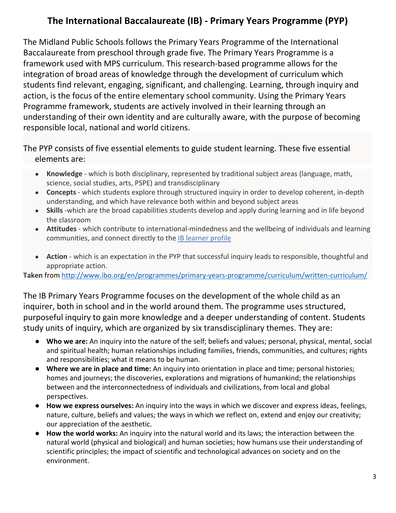# **The International Baccalaureate (IB) - Primary Years Programme (PYP)**

The Midland Public Schools follows the Primary Years Programme of the International Baccalaureate from preschool through grade five. The Primary Years Programme is a framework used with MPS curriculum. This research-based programme allows for the integration of broad areas of knowledge through the development of curriculum which students find relevant, engaging, significant, and challenging. Learning, through inquiry and action, is the focus of the entire elementary school community. Using the Primary Years Programme framework, students are actively involved in their learning through an understanding of their own identity and are culturally aware, with the purpose of becoming responsible local, national and world citizens.

The PYP consists of five essential elements to guide student learning. These five essential elements are:

- **Knowledge**  which is both disciplinary, represented by traditional subject areas (language, math, science, social studies, arts, PSPE) and transdisciplinary
- **Concepts**  which students explore through structured inquiry in order to develop coherent, in-depth understanding, and which have relevance both within and beyond subject areas
- **Skills** -which are the broad capabilities students develop and apply during learning and in life beyond the classroom
- **Attitudes**  which contribute to international-mindedness and the wellbeing of individuals and learning communities, and connect directly to the [IB learner profile](http://www.ibo.org/en/benefits/learner-profile/)
- **Action**  which is an expectation in the PYP that successful inquiry leads to responsible, thoughtful and appropriate action.

**Taken** from<http://www.ibo.org/en/programmes/primary-years-programme/curriculum/written-curriculum/>

The IB Primary Years Programme focuses on the development of the whole child as an inquirer, both in school and in the world around them. The programme uses structured, purposeful inquiry to gain more knowledge and a deeper understanding of content. Students study units of inquiry, which are organized by six transdisciplinary themes. They are:

- **Who we are:** An inquiry into the nature of the self; beliefs and values; personal, physical, mental, social and spiritual health; human relationships including families, friends, communities, and cultures; rights and responsibilities; what it means to be human.
- **Where we are in place and time:** An inquiry into orientation in place and time; personal histories; homes and journeys; the discoveries, explorations and migrations of humankind; the relationships between and the interconnectedness of individuals and civilizations, from local and global perspectives.
- **How we express ourselves:** An inquiry into the ways in which we discover and express ideas, feelings, nature, culture, beliefs and values; the ways in which we reflect on, extend and enjoy our creativity; our appreciation of the aesthetic.
- **How the world works:** An inquiry into the natural world and its laws; the interaction between the natural world (physical and biological) and human societies; how humans use their understanding of scientific principles; the impact of scientific and technological advances on society and on the environment.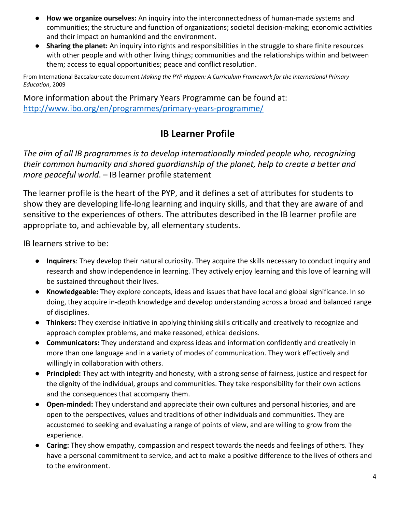- **How we organize ourselves:** An inquiry into the interconnectedness of human-made systems and communities; the structure and function of organizations; societal decision-making; economic activities and their impact on humankind and the environment.
- **Sharing the planet:** An inquiry into rights and responsibilities in the struggle to share finite resources with other people and with other living things; communities and the relationships within and between them; access to equal opportunities; peace and conflict resolution.

From International Baccalaureate document *Making the PYP Happen: A Curriculum Framework for the International Primary Education*, 2009

More information about the Primary Years Programme can be found at: <http://www.ibo.org/en/programmes/primary-years-programme/>

## **IB Learner Profile**

*The aim of all IB programmes is to develop internationally minded people who, recognizing their common humanity and shared guardianship of the planet, help to create a better and more peaceful world*. – IB learner profile statement

The learner profile is the heart of the PYP, and it defines a set of attributes for students to show they are developing life-long learning and inquiry skills, and that they are aware of and sensitive to the experiences of others. The attributes described in the IB learner profile are appropriate to, and achievable by, all elementary students.

IB learners strive to be:

- **Inquirers**: They develop their natural curiosity. They acquire the skills necessary to conduct inquiry and research and show independence in learning. They actively enjoy learning and this love of learning will be sustained throughout their lives.
- **Knowledgeable:** They explore concepts, ideas and issues that have local and global significance. In so doing, they acquire in-depth knowledge and develop understanding across a broad and balanced range of disciplines.
- **Thinkers:** They exercise initiative in applying thinking skills critically and creatively to recognize and approach complex problems, and make reasoned, ethical decisions.
- **Communicators:** They understand and express ideas and information confidently and creatively in more than one language and in a variety of modes of communication. They work effectively and willingly in collaboration with others.
- **Principled:** They act with integrity and honesty, with a strong sense of fairness, justice and respect for the dignity of the individual, groups and communities. They take responsibility for their own actions and the consequences that accompany them.
- **Open-minded:** They understand and appreciate their own cultures and personal histories, and are open to the perspectives, values and traditions of other individuals and communities. They are accustomed to seeking and evaluating a range of points of view, and are willing to grow from the experience.
- **Caring:** They show empathy, compassion and respect towards the needs and feelings of others. They have a personal commitment to service, and act to make a positive difference to the lives of others and to the environment.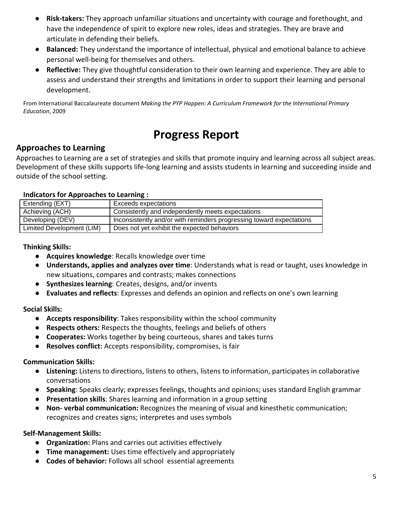- **Risk-takers:** They approach unfamiliar situations and uncertainty with courage and forethought, and have the independence of spirit to explore new roles, ideas and strategies. They are brave and articulate in defending their beliefs.
- **Balanced:** They understand the importance of intellectual, physical and emotional balance to achieve personal well-being for themselves and others.
- **Reflective:** They give thoughtful consideration to their own learning and experience. They are able to assess and understand their strengths and limitations in order to support their learning and personal development.

From International Baccalaureate document *Making the PYP Happen: A Curriculum Framework for the International Primary Education*, 2009

# **Progress Report**

#### **Approaches to Learning**

Approaches to Learning are a set of strategies and skills that promote inquiry and learning across all subject areas. Development of these skills supports life-long learning and assists students in learning and succeeding inside and outside of the school setting.

#### **Indicators for Approaches to Learning :**

| Extending (EXT)           | <b>Exceeds expectations</b>                                          |
|---------------------------|----------------------------------------------------------------------|
| Achieving (ACH)           | Consistently and independently meets expectations                    |
| Developing (DEV)          | Inconsistently and/or with reminders progressing toward expectations |
| Limited Development (LIM) | Does not yet exhibit the expected behaviors                          |

**Thinking Skills:**

- **Acquires knowledge**: Recalls knowledge over time
- **Understands, applies and analyzes over time**: Understands what is read or taught, uses knowledge in new situations, compares and contrasts; makes connections
- **Synthesizes learning**: Creates, designs, and/or invents
- **Evaluates and reflects**: Expresses and defends an opinion and reflects on one's own learning

**Social Skills:**

- **Accepts responsibility**: Takes responsibility within the school community
- **Respects others:** Respects the thoughts, feelings and beliefs of others
- **Cooperates:** Works together by being courteous, shares and takes turns
- **Resolves conflict:** Accepts responsibility, compromises, is fair

#### **Communication Skills:**

- **Listening:** Listens to directions, listens to others, listens to information, participates in collaborative conversations
- **Speaking**: Speaks clearly; expresses feelings, thoughts and opinions; uses standard English grammar
- **Presentation skills**: Shares learning and information in a group setting
- **Non- verbal communication:** Recognizes the meaning of visual and kinesthetic communication; recognizes and creates signs; interpretes and uses symbols

**Self-Management Skills:**

- **Organization:** Plans and carries out activities effectively
- **Time management:** Uses time effectively and appropriately
- **Codes of behavior:** Follows all school essential agreements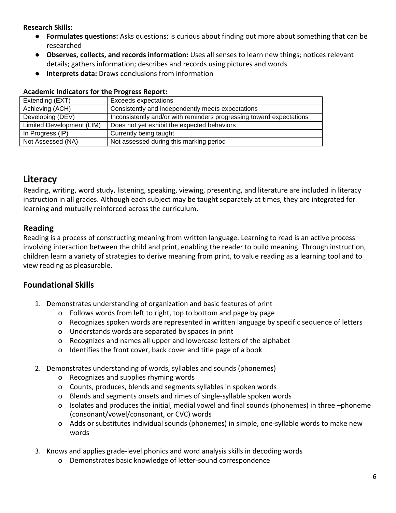**Research Skills:**

- **● Formulates questions:** Asks questions; is curious about finding out more about something that can be researched
- **● Observes, collects, and records information:** Uses all senses to learn new things; notices relevant details; gathers information; describes and records using pictures and words
- **● Interprets data:** Draws conclusions from information

#### **Academic Indicators for the Progress Report:**

| Extending (EXT)           | <b>Exceeds expectations</b>                                          |
|---------------------------|----------------------------------------------------------------------|
| Achieving (ACH)           | Consistently and independently meets expectations                    |
| Developing (DEV)          | Inconsistently and/or with reminders progressing toward expectations |
| Limited Development (LIM) | Does not yet exhibit the expected behaviors                          |
| In Progress (IP)          | Currently being taught                                               |
| Not Assessed (NA)         | Not assessed during this marking period                              |
|                           |                                                                      |

## **Literacy**

Reading, writing, word study, listening, speaking, viewing, presenting, and literature are included in literacy instruction in all grades. Although each subject may be taught separately at times, they are integrated for learning and mutually reinforced across the curriculum.

## **Reading**

Reading is a process of constructing meaning from written language. Learning to read is an active process involving interaction between the child and print, enabling the reader to build meaning. Through instruction, children learn a variety of strategies to derive meaning from print, to value reading as a learning tool and to view reading as pleasurable.

## **Foundational Skills**

- 1. Demonstrates understanding of organization and basic features of print
	- o Follows words from left to right, top to bottom and page by page
	- o Recognizes spoken words are represented in written language by specific sequence of letters
	- o Understands words are separated by spaces in print
	- o Recognizes and names all upper and lowercase letters of the alphabet
	- o Identifies the front cover, back cover and title page of a book
- 2. Demonstrates understanding of words, syllables and sounds (phonemes)
	- o Recognizes and supplies rhyming words
	- o Counts, produces, blends and segments syllables in spoken words
	- o Blends and segments onsets and rimes of single-syllable spoken words
	- o Isolates and produces the initial, medial vowel and final sounds (phonemes) in three –phoneme (consonant/vowel/consonant, or CVC) words
	- o Adds or substitutes individual sounds (phonemes) in simple, one-syllable words to make new words
- 3. Knows and applies grade-level phonics and word analysis skills in decoding words
	- o Demonstrates basic knowledge of letter-sound correspondence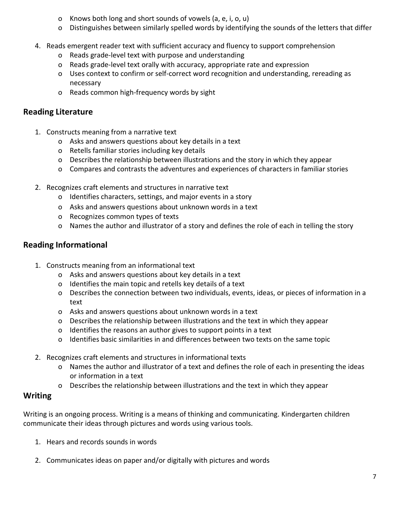- o Knows both long and short sounds of vowels (a, e, i, o, u)
- o Distinguishes between similarly spelled words by identifying the sounds of the letters that differ
- 4. Reads emergent reader text with sufficient accuracy and fluency to support comprehension
	- o Reads grade-level text with purpose and understanding
	- o Reads grade-level text orally with accuracy, appropriate rate and expression
	- o Uses context to confirm or self-correct word recognition and understanding, rereading as necessary
	- o Reads common high-frequency words by sight

#### **Reading Literature**

- 1. Constructs meaning from a narrative text
	- o Asks and answers questions about key details in a text
	- o Retells familiar stories including key details
	- o Describes the relationship between illustrations and the story in which they appear
	- o Compares and contrasts the adventures and experiences of characters in familiar stories
- 2. Recognizes craft elements and structures in narrative text
	- o Identifies characters, settings, and major events in a story
	- o Asks and answers questions about unknown words in a text
	- o Recognizes common types of texts
	- o Names the author and illustrator of a story and defines the role of each in telling the story

## **Reading Informational**

- 1. Constructs meaning from an informational text
	- o Asks and answers questions about key details in a text
	- o Identifies the main topic and retells key details of a text
	- o Describes the connection between two individuals, events, ideas, or pieces of information in a text
	- o Asks and answers questions about unknown words in a text
	- o Describes the relationship between illustrations and the text in which they appear
	- o Identifies the reasons an author gives to support points in a text
	- o Identifies basic similarities in and differences between two texts on the same topic
- 2. Recognizes craft elements and structures in informational texts
	- o Names the author and illustrator of a text and defines the role of each in presenting the ideas or information in a text
	- o Describes the relationship between illustrations and the text in which they appear

#### **Writing**

Writing is an ongoing process. Writing is a means of thinking and communicating. Kindergarten children communicate their ideas through pictures and words using various tools.

- 1. Hears and records sounds in words
- 2. Communicates ideas on paper and/or digitally with pictures and words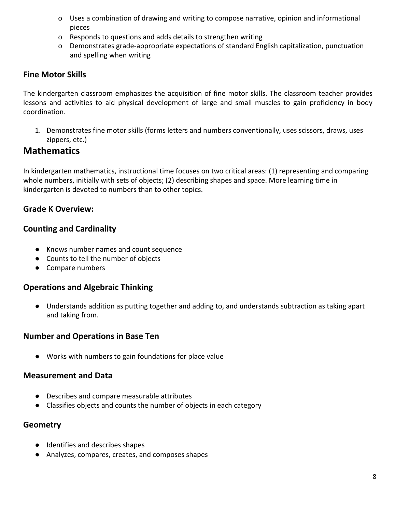- o Uses a combination of drawing and writing to compose narrative, opinion and informational pieces
- o Responds to questions and adds details to strengthen writing
- o Demonstrates grade-appropriate expectations of standard English capitalization, punctuation and spelling when writing

#### **Fine Motor Skills**

The kindergarten classroom emphasizes the acquisition of fine motor skills. The classroom teacher provides lessons and activities to aid physical development of large and small muscles to gain proficiency in body coordination.

1. Demonstrates fine motor skills (forms letters and numbers conventionally, uses scissors, draws, uses zippers, etc.)

## **Mathematics**

In kindergarten mathematics, instructional time focuses on two critical areas: (1) representing and comparing whole numbers, initially with sets of objects; (2) describing shapes and space. More learning time in kindergarten is devoted to numbers than to other topics.

#### **Grade K Overview:**

#### **Counting and Cardinality**

- Knows number names and count sequence
- Counts to tell the number of objects
- Compare numbers

#### **Operations and Algebraic Thinking**

● Understands addition as putting together and adding to, and understands subtraction as taking apart and taking from.

#### **Number and Operations in Base Ten**

● Works with numbers to gain foundations for place value

#### **Measurement and Data**

- Describes and compare measurable attributes
- Classifies objects and counts the number of objects in each category

#### **Geometry**

- Identifies and describes shapes
- Analyzes, compares, creates, and composes shapes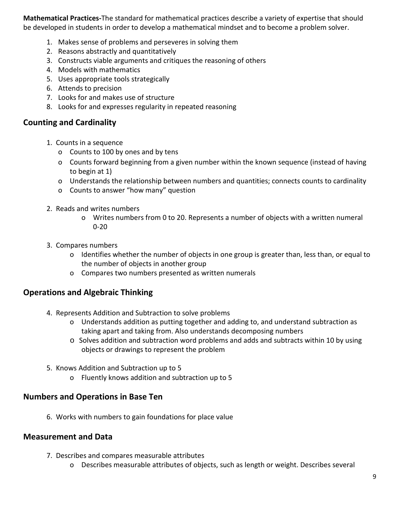**Mathematical Practices-**The standard for mathematical practices describe a variety of expertise that should be developed in students in order to develop a mathematical mindset and to become a problem solver.

- 1. Makes sense of problems and perseveres in solving them
- 2. Reasons abstractly and quantitatively
- 3. Constructs viable arguments and critiques the reasoning of others
- 4. Models with mathematics
- 5. Uses appropriate tools strategically
- 6. Attends to precision
- 7. Looks for and makes use of structure
- 8. Looks for and expresses regularity in repeated reasoning

#### **Counting and Cardinality**

- 1. Counts in a sequence
	- o Counts to 100 by ones and by tens
	- o Counts forward beginning from a given number within the known sequence (instead of having to begin at 1)
	- o Understands the relationship between numbers and quantities; connects counts to cardinality
	- o Counts to answer "how many" question
- 2. Reads and writes numbers
	- o Writes numbers from 0 to 20. Represents a number of objects with a written numeral 0-20
- 3. Compares numbers
	- o Identifies whether the number of objects in one group is greater than, less than, or equal to the number of objects in another group
	- o Compares two numbers presented as written numerals

#### **Operations and Algebraic Thinking**

- 4. Represents Addition and Subtraction to solve problems
	- o Understands addition as putting together and adding to, and understand subtraction as taking apart and taking from. Also understands decomposing numbers
	- o Solves addition and subtraction word problems and adds and subtracts within 10 by using objects or drawings to represent the problem
- 5. Knows Addition and Subtraction up to 5
	- o Fluently knows addition and subtraction up to 5

## **Numbers and Operations in Base Ten**

6. Works with numbers to gain foundations for place value

## **Measurement and Data**

- 7. Describes and compares measurable attributes
	- o Describes measurable attributes of objects, such as length or weight. Describes several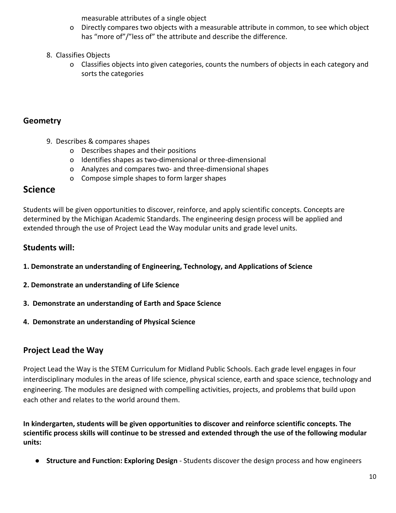measurable attributes of a single object

- o Directly compares two objects with a measurable attribute in common, to see which object has "more of"/"less of" the attribute and describe the difference.
- 8. Classifies Objects
	- o Classifies objects into given categories, counts the numbers of objects in each category and sorts the categories

## **Geometry**

- 9. Describes & compares shapes
	- o Describes shapes and their positions
	- o Identifies shapes as two-dimensional or three-dimensional
	- o Analyzes and compares two- and three-dimensional shapes
	- o Compose simple shapes to form larger shapes

## **Science**

Students will be given opportunities to discover, reinforce, and apply scientific concepts. Concepts are determined by the Michigan Academic Standards. The engineering design process will be applied and extended through the use of Project Lead the Way modular units and grade level units.

## **Students will:**

- **1. Demonstrate an understanding of Engineering, Technology, and Applications of Science**
- **2. Demonstrate an understanding of Life Science**
- **3. Demonstrate an understanding of Earth and Space Science**
- **4. Demonstrate an understanding of Physical Science**

## **Project Lead the Way**

Project Lead the Way is the STEM Curriculum for Midland Public Schools. Each grade level engages in four interdisciplinary modules in the areas of life science, physical science, earth and space science, technology and engineering. The modules are designed with compelling activities, projects, and problems that build upon each other and relates to the world around them.

**In kindergarten, students will be given opportunities to discover and reinforce scientific concepts. The scientific process skills will continue to be stressed and extended through the use of the following modular units:**

● **Structure and Function: Exploring Design** - Students discover the design process and how engineers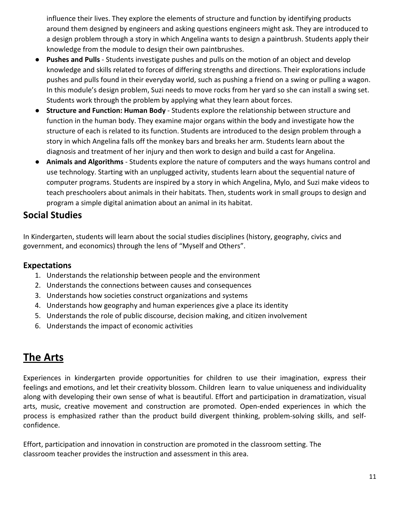influence their lives. They explore the elements of structure and function by identifying products around them designed by engineers and asking questions engineers might ask. They are introduced to a design problem through a story in which Angelina wants to design a paintbrush. Students apply their knowledge from the module to design their own paintbrushes.

- **Pushes and Pulls**  Students investigate pushes and pulls on the motion of an object and develop knowledge and skills related to forces of differing strengths and directions. Their explorations include pushes and pulls found in their everyday world, such as pushing a friend on a swing or pulling a wagon. In this module's design problem, Suzi needs to move rocks from her yard so she can install a swing set. Students work through the problem by applying what they learn about forces.
- **Structure and Function: Human Body**  Students explore the relationship between structure and function in the human body. They examine major organs within the body and investigate how the structure of each is related to its function. Students are introduced to the design problem through a story in which Angelina falls off the monkey bars and breaks her arm. Students learn about the diagnosis and treatment of her injury and then work to design and build a cast for Angelina.
- **Animals and Algorithms**  Students explore the nature of computers and the ways humans control and use technology. Starting with an unplugged activity, students learn about the sequential nature of computer programs. Students are inspired by a story in which Angelina, Mylo, and Suzi make videos to teach preschoolers about animals in their habitats. Then, students work in small groups to design and program a simple digital animation about an animal in its habitat.

## **Social Studies**

In Kindergarten, students will learn about the social studies disciplines (history, geography, civics and government, and economics) through the lens of "Myself and Others".

#### **Expectations**

- 1. Understands the relationship between people and the environment
- 2. Understands the connections between causes and consequences
- 3. Understands how societies construct organizations and systems
- 4. Understands how geography and human experiences give a place its identity
- 5. Understands the role of public discourse, decision making, and citizen involvement
- 6. Understands the impact of economic activities

# **The Arts**

Experiences in kindergarten provide opportunities for children to use their imagination, express their feelings and emotions, and let their creativity blossom. Children learn to value uniqueness and individuality along with developing their own sense of what is beautiful. Effort and participation in dramatization, visual arts, music, creative movement and construction are promoted. Open-ended experiences in which the process is emphasized rather than the product build divergent thinking, problem-solving skills, and selfconfidence.

Effort, participation and innovation in construction are promoted in the classroom setting. The classroom teacher provides the instruction and assessment in this area.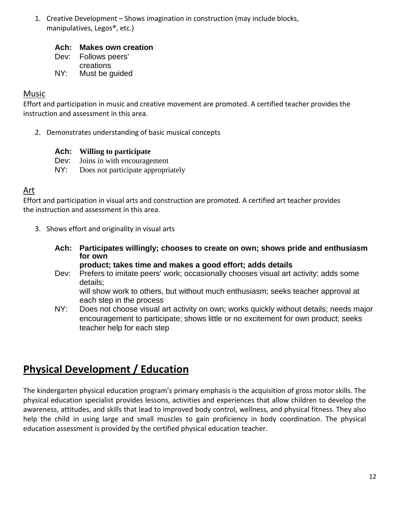1. Creative Development – Shows imagination in construction (may include blocks, manipulatives, Legos®, etc.)

#### **Ach: Makes own creation**

Dev: Follows peers' creations

NY: Must be guided

#### Music

Effort and participation in music and creative movement are promoted. A certified teacher provides the instruction and assessment in this area.

2. Demonstrates understanding of basic musical concepts

#### **Ach: Willing to participate**

- Dev: Joins in with encouragement
- NY: Does not participate appropriately

#### Art

Effort and participation in visual arts and construction are promoted. A certified art teacher provides the instruction and assessment in this area.

- 3. Shows effort and originality in visual arts
	- **Ach: Participates willingly; chooses to create on own; shows pride and enthusiasm for own**

#### **product; takes time and makes a good effort; adds details**

Dev: Prefers to imitate peers' work; occasionally chooses visual art activity; adds some details; will show work to others, but without much enthusiasm; seeks teacher approval at

each step in the process

NY: Does not choose visual art activity on own; works quickly without details; needs major encouragement to participate; shows little or no excitement for own product; seeks teacher help for each step

# **Physical Development / Education**

The kindergarten physical education program's primary emphasis is the acquisition of gross motor skills. The physical education specialist provides lessons, activities and experiences that allow children to develop the awareness, attitudes, and skills that lead to improved body control, wellness, and physical fitness. They also help the child in using large and small muscles to gain proficiency in body coordination. The physical education assessment is provided by the certified physical education teacher.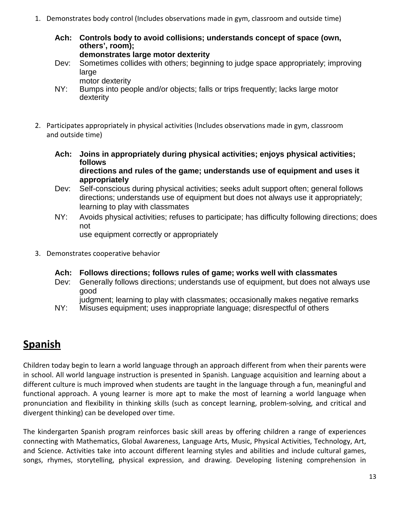- 1. Demonstrates body control (Includes observations made in gym, classroom and outside time)
	- **Ach: Controls body to avoid collisions; understands concept of space (own, others', room); demonstrates large motor dexterity**
	- Dev: Sometimes collides with others; beginning to judge space appropriately; improving large

motor dexterity

- NY: Bumps into people and/or objects; falls or trips frequently; lacks large motor dexterity
- 2. Participates appropriately in physical activities (Includes observations made in gym, classroom and outside time)
	- **Ach: Joins in appropriately during physical activities; enjoys physical activities; follows**

**directions and rules of the game; understands use of equipment and uses it appropriately**

- Dev: Self-conscious during physical activities; seeks adult support often; general follows directions; understands use of equipment but does not always use it appropriately; learning to play with classmates
- NY: Avoids physical activities; refuses to participate; has difficulty following directions; does not

use equipment correctly or appropriately

- 3. Demonstrates cooperative behavior
	- **Ach: Follows directions; follows rules of game; works well with classmates**
	- Dev: Generally follows directions; understands use of equipment, but does not always use good
	- judgment; learning to play with classmates; occasionally makes negative remarks
	- NY: Misuses equipment; uses inappropriate language; disrespectful of others

# **Spanish**

Children today begin to learn a world language through an approach different from when their parents were in school. All world language instruction is presented in Spanish. Language acquisition and learning about a different culture is much improved when students are taught in the language through a fun, meaningful and functional approach. A young learner is more apt to make the most of learning a world language when pronunciation and flexibility in thinking skills (such as concept learning, problem-solving, and critical and divergent thinking) can be developed over time.

The kindergarten Spanish program reinforces basic skill areas by offering children a range of experiences connecting with Mathematics, Global Awareness, Language Arts, Music, Physical Activities, Technology, Art, and Science. Activities take into account different learning styles and abilities and include cultural games, songs, rhymes, storytelling, physical expression, and drawing. Developing listening comprehension in